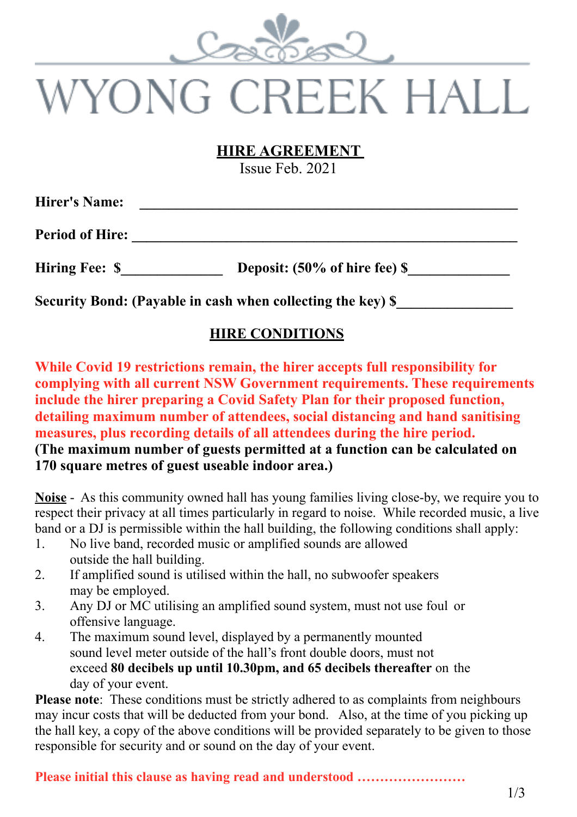

# VYONG CREEK HALL

#### **HIRE AGREEMENT**

Issue Feb. 2021

| <b>Hirer's Name:</b>   |                               |  |
|------------------------|-------------------------------|--|
| <b>Period of Hire:</b> |                               |  |
| <b>Hiring Fee: \$</b>  | Deposit: (50% of hire fee) \$ |  |

**Security Bond: (Payable in cash when collecting the key) \$** 

#### **HIRE CONDITIONS**

**While Covid 19 restrictions remain, the hirer accepts full responsibility for complying with all current NSW Government requirements. These requirements include the hirer preparing a Covid Safety Plan for their proposed function, detailing maximum number of attendees, social distancing and hand sanitising measures, plus recording details of all attendees during the hire period. (The maximum number of guests permitted at a function can be calculated on 170 square metres of guest useable indoor area.)**

**Noise** - As this community owned hall has young families living close-by, we require you to respect their privacy at all times particularly in regard to noise. While recorded music, a live band or a DJ is permissible within the hall building, the following conditions shall apply:

- 1. No live band, recorded music or amplified sounds are allowed outside the hall building.
- 2. If amplified sound is utilised within the hall, no subwoofer speakers may be employed.
- 3. Any DJ or MC utilising an amplified sound system, must not use foul or offensive language.
- 4. The maximum sound level, displayed by a permanently mounted sound level meter outside of the hall's front double doors, must not exceed **80 decibels up until 10.30pm, and 65 decibels thereafter** on the day of your event.

**Please note:** These conditions must be strictly adhered to as complaints from neighbours may incur costs that will be deducted from your bond. Also, at the time of you picking up the hall key, a copy of the above conditions will be provided separately to be given to those responsible for security and or sound on the day of your event.

**Please initial this clause as having read and understood ……………………**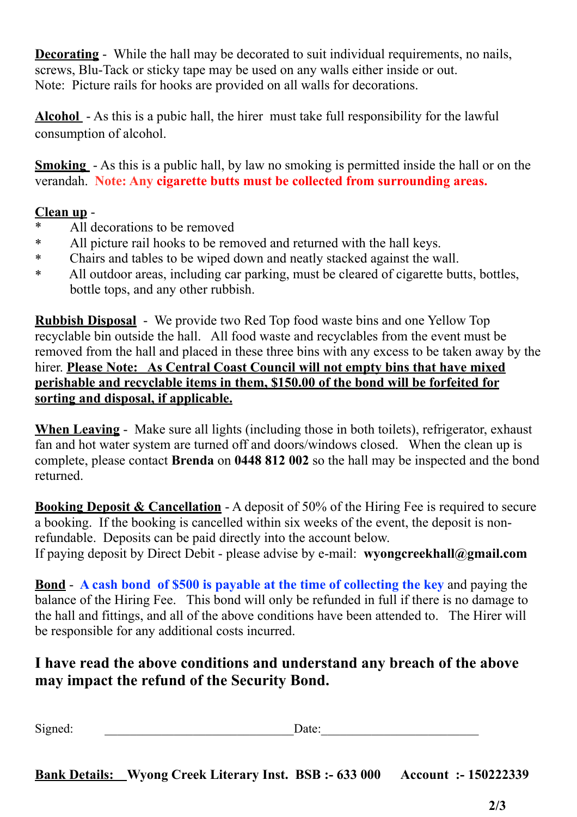**Decorating** - While the hall may be decorated to suit individual requirements, no nails, screws, Blu-Tack or sticky tape may be used on any walls either inside or out. Note: Picture rails for hooks are provided on all walls for decorations.

**Alcohol** - As this is a pubic hall, the hirer must take full responsibility for the lawful consumption of alcohol.

**Smoking** - As this is a public hall, by law no smoking is permitted inside the hall or on the verandah. **Note: Any cigarette butts must be collected from surrounding areas.**

#### **Clean up** -

- \* All decorations to be removed
- \* All picture rail hooks to be removed and returned with the hall keys.
- \* Chairs and tables to be wiped down and neatly stacked against the wall.
- \* All outdoor areas, including car parking, must be cleared of cigarette butts, bottles, bottle tops, and any other rubbish.

**Rubbish Disposal** - We provide two Red Top food waste bins and one Yellow Top recyclable bin outside the hall. All food waste and recyclables from the event must be removed from the hall and placed in these three bins with any excess to be taken away by the hirer. **Please Note: As Central Coast Council will not empty bins that have mixed perishable and recyclable items in them, \$150.00 of the bond will be forfeited for sorting and disposal, if applicable.**

**When Leaving** - Make sure all lights (including those in both toilets), refrigerator, exhaust fan and hot water system are turned off and doors/windows closed. When the clean up is complete, please contact **Brenda** on **0448 812 002** so the hall may be inspected and the bond returned.

**Booking Deposit & Cancellation** - A deposit of 50% of the Hiring Fee is required to secure a booking. If the booking is cancelled within six weeks of the event, the deposit is nonrefundable. Deposits can be paid directly into the account below. If paying deposit by Direct Debit - please advise by e-mail: **wyongcreekhall@gmail.com**

**Bond** - **A cash bond of \$500 is payable at the time of collecting the key** and paying the balance of the Hiring Fee. This bond will only be refunded in full if there is no damage to the hall and fittings, and all of the above conditions have been attended to. The Hirer will be responsible for any additional costs incurred.

#### **I have read the above conditions and understand any breach of the above may impact the refund of the Security Bond.**

Signed: \_\_\_\_\_\_\_\_\_\_\_\_\_\_\_\_\_\_\_\_\_\_\_\_\_\_\_\_\_\_Date:\_\_\_\_\_\_\_\_\_\_\_\_\_\_\_\_\_\_\_\_\_\_\_\_\_

**Bank Details: Wyong Creek Literary Inst. BSB :- 633 000 Account :- 150222339**